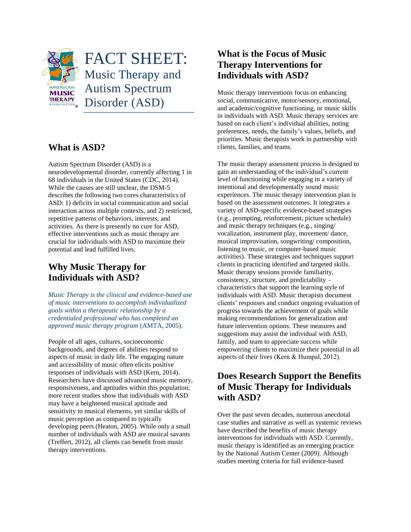

#### **What is ASD?**

Autism Spectrum Disorder (ASD) is a neurodevelopmental disorder, currently affecting 1 in 68 individuals in the United States (CDC, 2014). While the causes are still unclear, the DSM-5 describes the following two cores characteristics of ASD: 1) deficits in social communication and social interaction across multiple contexts, and 2) restricted, repetitive patterns of behaviors, interests, and activities. As there is presently no cure for ASD, effective interventions such as music therapy are crucial for individuals with ASD to maximize their potential and lead fulfilled lives.

# **Why Music Therapy for Individuals with ASD?**

*Music Therapy is the clinical and evidence-based use of music interventions to accomplish individualized goals within a therapeutic relationship by a credentialed professional who has completed an approved music therapy program* (AMTA, 2005).

People of all ages, cultures, socioeconomic backgrounds, and degrees of abilities respond to aspects of music in daily life. The engaging nature and accessibility of music often elicits positive responses of individuals with ASD (Kern, 2014). Researchers have discussed advanced music memory, responsiveness, and aptitudes within this population; more recent studies show that individuals with ASD may have a heightened musical aptitude and sensitivity to musical elements, yet similar skills of music perception as compared to typically developing peers (Heaton, 2005). While only a small number of individuals with ASD are musical savants (Treffert, 2012), all clients can benefit from music therapy interventions.

## **What is the Focus of Music Therapy Interventions for Individuals with ASD?**

Music therapy interventions focus on enhancing social, communicative, motor/sensory, emotional, and academic/cognitive functioning, or music skills in individuals with ASD. Music therapy services are based on each client's individual abilities, noting preferences, needs, the family's values, beliefs, and priorities. Music therapists work in partnership with clients, families, and teams.

The music therapy assessment process is designed to gain an understanding of the individual's current level of functioning while engaging in a variety of intentional and developmentally sound music experiences. The music therapy intervention plan is based on the assessment outcomes. It integrates a variety of ASD-specific evidence-based strategies (e.g., prompting, reinforcement, picture schedule) and music therapy techniques (e.g., singing/ vocalization, instrument play, movement/ dance, musical improvisation, songwriting/ composition, listening to music, or computer-based music activities). These strategies and techniques support clients in practicing identified and targeted skills. Music therapy sessions provide familiarity, consistency, structure, and predictability – characteristics that support the learning style of individuals with ASD. Music therapists document clients' responses and conduct ongoing evaluation of progress towards the achievement of goals while making recommendations for generalization and future intervention options. These measures and suggestions may assist the individual with ASD, family, and team to appreciate success while empowering clients to maximize their potential in all aspects of their lives (Kern & Humpal, 2012).

## **Does Research Support the Benefits of Music Therapy for Individuals with ASD?**

Over the past seven decades, numerous anecdotal case studies and narrative as well as systemic reviews have described the benefits of music therapy interventions for individuals with ASD. Currently, music therapy is identified as an emerging practice by the National Autism Center (2009). Although studies meeting criteria for full evidence-based